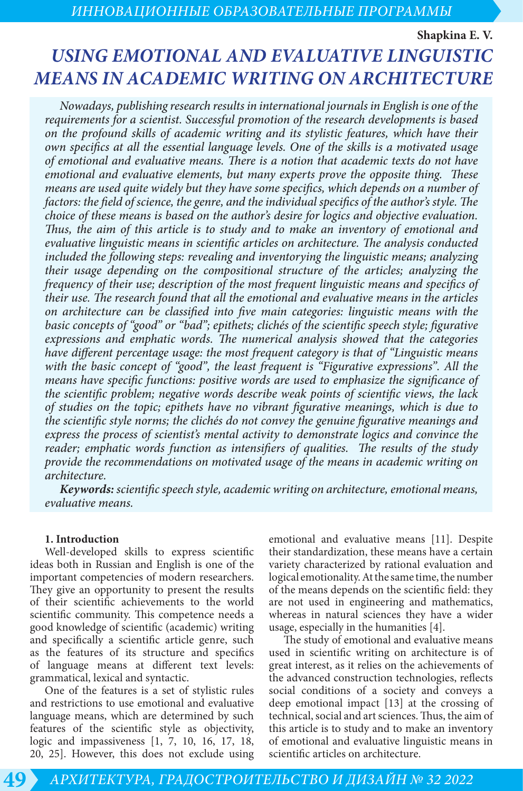**Shapkina E. V.**

# *USING EMOTIONAL AND EVALUATIVE LINGUISTIC MEANS IN ACADEMIC WRITING ON ARCHITECTURE*

*Nowadays, publishing research results in international journals in English is one of the requirements for a scientist. Successful promotion of the research developments is based on the profound skills of academic writing and its stylistic features, which have their own specifics at all the essential language levels. One of the skills is a motivated usage of emotional and evaluative means. There is a notion that academic texts do not have emotional and evaluative elements, but many experts prove the opposite thing. These means are used quite widely but they have some specifics, which depends on a number of factors: the field of science, the genre, and the individual specifics of the author's style. The choice of these means is based on the author's desire for logics and objective evaluation. Thus, the aim of this article is to study and to make an inventory of emotional and evaluative linguistic means in scientific articles on architecture. The analysis conducted included the following steps: revealing and inventorying the linguistic means; analyzing their usage depending on the compositional structure of the articles; analyzing the frequency of their use; description of the most frequent linguistic means and specifics of their use. The research found that all the emotional and evaluative means in the articles on architecture can be classified into five main categories: linguistic means with the basic concepts of "good" or "bad"; epithets; clichés of the scientific speech style; figurative expressions and emphatic words. The numerical analysis showed that the categories have different percentage usage: the most frequent category is that of "Linguistic means with the basic concept of "good", the least frequent is "Figurative expressions". All the means have specific functions: positive words are used to emphasize the significance of the scientific problem; negative words describe weak points of scientific views, the lack of studies on the topic; epithets have no vibrant figurative meanings, which is due to the scientific style norms; the clichés do not convey the genuine figurative meanings and express the process of scientist's mental activity to demonstrate logics and convince the reader; emphatic words function as intensifiers of qualities. The results of the study provide the recommendations on motivated usage of the means in academic writing on architecture.* 

*Keywords: scientific speech style, academic writing on architecture, emotional means, evaluative means.* 

#### **1. Introduction**

Well-developed skills to express scientific ideas both in Russian and English is one of the important competencies of modern researchers. They give an opportunity to present the results of their scientific achievements to the world scientific community. This competence needs a good knowledge of scientific (academic) writing and specifically a scientific article genre, such as the features of its structure and specifics of language means at different text levels: grammatical, lexical and syntactic.

One of the features is a set of stylistic rules and restrictions to use emotional and evaluative language means, which are determined by such features of the scientific style as objectivity, logic and impassiveness [1, 7, 10, 16, 17, 18, 20, 25]. However, this does not exclude using emotional and evaluative means [11]. Despite their standardization, these means have a certain variety characterized by rational evaluation and logical emotionality. At the same time, the number of the means depends on the scientific field: they are not used in engineering and mathematics, whereas in natural sciences they have a wider usage, especially in the humanities [4].

The study of emotional and evaluative means used in scientific writing on architecture is of great interest, as it relies on the achievements of the advanced construction technologies, reflects social conditions of a society and conveys a deep emotional impact [13] at the crossing of technical, social and art sciences. Thus, the aim of this article is to study and to make an inventory of emotional and evaluative linguistic means in scientific articles on architecture.

**49** *АРХИТЕКТУРА, ГРАДОСТРОИТЕЛЬСТВО И ДИЗАЙН № 32 2022*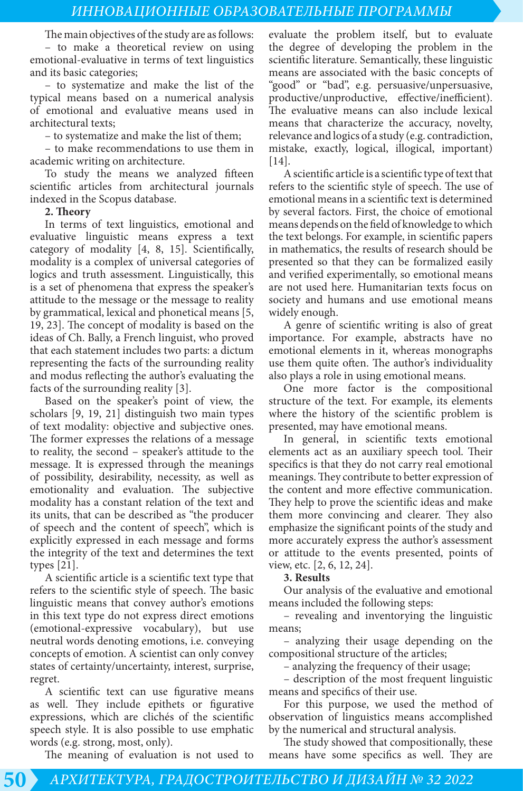The main objectives of the study are as follows: – to make a theoretical review on using emotional-evaluative in terms of text linguistics and its basic categories;

– to systematize and make the list of the typical means based on a numerical analysis of emotional and evaluative means used in architectural texts;

– to systematize and make the list of them;

– to make recommendations to use them in academic writing on architecture.

To study the means we analyzed fifteen scientific articles from architectural journals indexed in the Scopus database.

#### **2. Theory**

In terms of text linguistics, emotional and evaluative linguistic means express a text category of modality [4, 8, 15]. Scientifically, modality is a complex of universal categories of logics and truth assessment. Linguistically, this is a set of phenomena that express the speaker's attitude to the message or the message to reality by grammatical, lexical and phonetical means [5, 19, 23]. The concept of modality is based on the ideas of Ch. Bally, a French linguist, who proved that each statement includes two parts: a dictum representing the facts of the surrounding reality and modus reflecting the author's evaluating the facts of the surrounding reality [3].

Based on the speaker's point of view, the scholars [9, 19, 21] distinguish two main types of text modality: objective and subjective ones. The former expresses the relations of a message to reality, the second – speaker's attitude to the message. It is expressed through the meanings of possibility, desirability, necessity, as well as emotionality and evaluation. The subjective modality has a constant relation of the text and its units, that can be described as "the producer of speech and the content of speech", which is explicitly expressed in each message and forms the integrity of the text and determines the text types [21].

A scientific article is a scientific text type that refers to the scientific style of speech. The basic linguistic means that convey author's emotions in this text type do not express direct emotions (emotional-expressive vocabulary), but use neutral words denoting emotions, i.e. conveying concepts of emotion. A scientist can only convey states of certainty/uncertainty, interest, surprise, regret.

A scientific text can use figurative means as well. They include epithets or figurative expressions, which are clichés of the scientific speech style. It is also possible to use emphatic words (e.g. strong, most, only).

The meaning of evaluation is not used to

evaluate the problem itself, but to evaluate the degree of developing the problem in the scientific literature. Semantically, these linguistic means are associated with the basic concepts of "good" or "bad", e.g. persuasive/unpersuasive, productive/unproductive, effective/inefficient). The evaluative means can also include lexical means that characterize the accuracy, novelty, relevance and logics of a study (e.g. contradiction, mistake, exactly, logical, illogical, important) [14].

A scientific article is a scientific type of text that refers to the scientific style of speech. The use of emotional means in a scientific text is determined by several factors. First, the choice of emotional means depends on the field of knowledge to which the text belongs. For example, in scientific papers in mathematics, the results of research should be presented so that they can be formalized easily and verified experimentally, so emotional means are not used here. Humanitarian texts focus on society and humans and use emotional means widely enough.

A genre of scientific writing is also of great importance. For example, abstracts have no emotional elements in it, whereas monographs use them quite often. The author's individuality also plays a role in using emotional means.

One more factor is the compositional structure of the text. For example, its elements where the history of the scientific problem is presented, may have emotional means.

In general, in scientific texts emotional elements act as an auxiliary speech tool. Their specifics is that they do not carry real emotional meanings. They contribute to better expression of the content and more effective communication. They help to prove the scientific ideas and make them more convincing and clearer. They also emphasize the significant points of the study and more accurately express the author's assessment or attitude to the events presented, points of view, etc. [2, 6, 12, 24].

#### **3. Results**

Our analysis of the evaluative and emotional means included the following steps:

– revealing and inventorying the linguistic means;

– analyzing their usage depending on the compositional structure of the articles;

– analyzing the frequency of their usage;

– description of the most frequent linguistic means and specifics of their use.

For this purpose, we used the method of observation of linguistics means accomplished by the numerical and structural analysis.

The study showed that compositionally, these means have some specifics as well. They are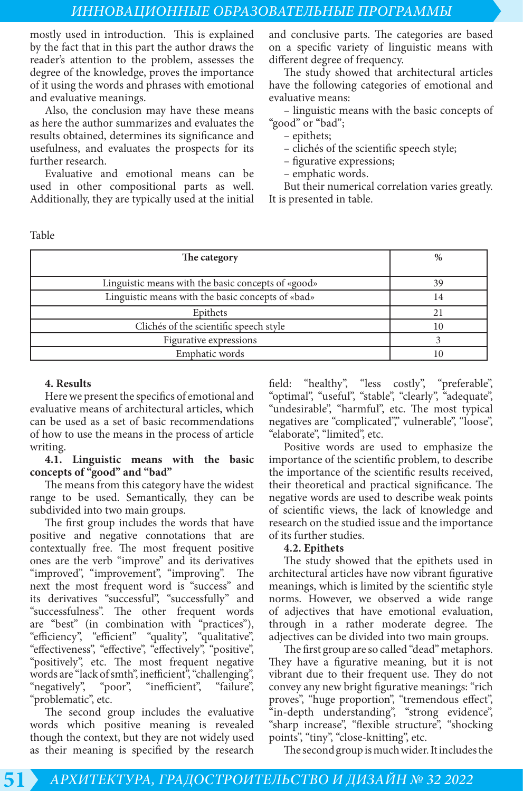### *ИННОВАЦИОННЫЕ ОБРАЗОВАТЕЛЬНЫЕ ПРОГРАММЫ*

mostly used in introduction. This is explained by the fact that in this part the author draws the reader's attention to the problem, assesses the degree of the knowledge, proves the importance of it using the words and phrases with emotional and evaluative meanings.

Also, the conclusion may have these means as here the author summarizes and evaluates the results obtained, determines its significance and usefulness, and evaluates the prospects for its further research.

Evaluative and emotional means can be used in other compositional parts as well. Additionally, they are typically used at the initial and conclusive parts. The categories are based on a specific variety of linguistic means with different degree of frequency.

The study showed that architectural articles have the following categories of emotional and evaluative means:

– linguistic means with the basic concepts of "good" or "bad";

- epithets;
- clichés of the scientific speech style;
- figurative expressions;
- emphatic words.

But their numerical correlation varies greatly. It is presented in table.

Table

| The category                                       | $\%$ |
|----------------------------------------------------|------|
| Linguistic means with the basic concepts of «good» | 39   |
| Linguistic means with the basic concepts of «bad»  | 14   |
| Epithets                                           |      |
| Clichés of the scientific speech style             | 10   |
| Figurative expressions                             |      |
| Emphatic words                                     |      |

#### **4. Results**

Here we present the specifics of emotional and evaluative means of architectural articles, which can be used as a set of basic recommendations of how to use the means in the process of article writing.

#### **4.1. Linguistic means with the basic concepts of "good" and "bad"**

The means from this category have the widest range to be used. Semantically, they can be subdivided into two main groups.

The first group includes the words that have positive and negative connotations that are contextually free. The most frequent positive ones are the verb "improve" and its derivatives "improved", "improvement", "improving". The next the most frequent word is "success" and its derivatives "successful", "successfully" and "successfulness". The other frequent words are "best" (in combination with "practices"), "efficiency", "efficient" "quality", "qualitative", "effectiveness", "effective", "effectively", "positive", "positively", etc. The most frequent negative words are "lack of smth", inefficient", "challenging", "negatively", "poor", "inefficient", "failure", "negatively", "poor", "inefficient", "failure", "problematic", etc.

The second group includes the evaluative words which positive meaning is revealed though the context, but they are not widely used as their meaning is specified by the research

field: "healthy", "less costly", "preferable", "optimal", "useful", "stable", "clearly", "adequate", "undesirable", "harmful", etc. The most typical negatives are "complicated", vulnerable", "loose", "elaborate", "limited", etc.

Positive words are used to emphasize the importance of the scientific problem, to describe the importance of the scientific results received, their theoretical and practical significance. The negative words are used to describe weak points of scientific views, the lack of knowledge and research on the studied issue and the importance of its further studies.

#### **4.2. Epithets**

The study showed that the epithets used in architectural articles have now vibrant figurative meanings, which is limited by the scientific style norms. However, we observed a wide range of adjectives that have emotional evaluation, through in a rather moderate degree. The adjectives can be divided into two main groups.

The first group are so called "dead" metaphors. They have a figurative meaning, but it is not vibrant due to their frequent use. They do not convey any new bright figurative meanings: "rich proves", "huge proportion", "tremendous effect", "in-depth understanding", "strong evidence", "sharp increase", "flexible structure", "shocking points", "tiny", "close-knitting", etc.

The second group is much wider. It includes the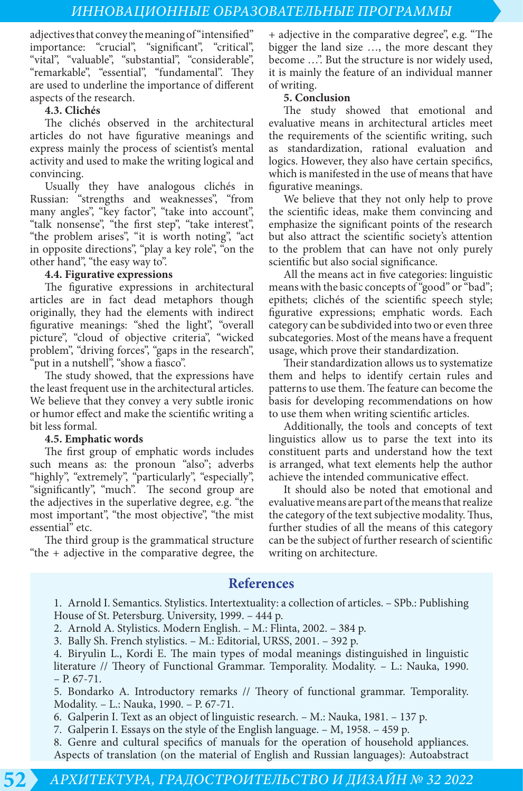adjectives that convey the meaning of "intensified" importance: "crucial", "significant", "critical", "vital", "valuable", "substantial", "considerable", "remarkable", "essential", "fundamental". They are used to underline the importance of different aspects of the research.

#### **4.3. Clichés**

The clichés observed in the architectural articles do not have figurative meanings and express mainly the process of scientist's mental activity and used to make the writing logical and convincing.

Usually they have analogous clichés in Russian: "strengths and weaknesses", "from many angles", "key factor", "take into account", "talk nonsense", "the first step", "take interest", "the problem arises", "it is worth noting", "act in opposite directions", "play a key role", "on the other hand", "the easy way to".

#### **4.4. Figurative expressions**

The figurative expressions in architectural articles are in fact dead metaphors though originally, they had the elements with indirect figurative meanings: "shed the light", "overall picture", "cloud of objective criteria", "wicked problem", "driving forces", "gaps in the research", "put in a nutshell", "show a fiasco".

The study showed, that the expressions have the least frequent use in the architectural articles. We believe that they convey a very subtle ironic or humor effect and make the scientific writing a bit less formal.

#### **4.5. Emphatic words**

The first group of emphatic words includes such means as: the pronoun "also"; adverbs "highly", "extremely", "particularly", "especially", "significantly", "much". The second group are the adjectives in the superlative degree, e.g. "the most important", "the most objective", "the mist essential" etc.

The third group is the grammatical structure "the + adjective in the comparative degree, the + adjective in the comparative degree", e.g. "The bigger the land size …, the more descant they become …". But the structure is nor widely used, it is mainly the feature of an individual manner of writing.

#### **5. Conclusion**

The study showed that emotional and evaluative means in architectural articles meet the requirements of the scientific writing, such as standardization, rational evaluation and logics. However, they also have certain specifics, which is manifested in the use of means that have figurative meanings.

We believe that they not only help to prove the scientific ideas, make them convincing and emphasize the significant points of the research but also attract the scientific society's attention to the problem that can have not only purely scientific but also social significance.

All the means act in five categories: linguistic means with the basic concepts of "good" or "bad"; epithets; clichés of the scientific speech style; figurative expressions; emphatic words. Each category can be subdivided into two or even three subcategories. Most of the means have a frequent usage, which prove their standardization.

Their standardization allows us to systematize them and helps to identify certain rules and patterns to use them. The feature can become the basis for developing recommendations on how to use them when writing scientific articles.

Additionally, the tools and concepts of text linguistics allow us to parse the text into its constituent parts and understand how the text is arranged, what text elements help the author achieve the intended communicative effect.

It should also be noted that emotional and evaluative means are part of the means that realize the category of the text subjective modality. Thus, further studies of all the means of this category can be the subject of further research of scientific writing on architecture.

# **References**

1. Arnold I. Semantics. Stylistics. Intertextuality: a collection of articles. – SPb.: Publishing House of St. Petersburg. University, 1999. – 444 p.

2. Arnold A. Stylistics. Modern English. – M.: Flinta, 2002. – 384 p.

3. Bally Sh. French stylistics. – M.: Editorial, URSS, 2001. – 392 p.

4. Biryulin L., Kordi E. The main types of modal meanings distinguished in linguistic literature // Theory of Functional Grammar. Temporality. Modality. – L.: Nauka, 1990.  $- P. 67 - 71.$ 

5. Bondarko A. Introductory remarks // Theory of functional grammar. Temporality. Modality. – L.: Nauka, 1990. – P. 67-71.

6. Galperin I. Text as an object of linguistic research. – M.: Nauka, 1981. – 137 p.

7. Galperin I. Essays on the style of the English language. – M, 1958. – 459 p.

8. Genre and cultural specifics of manuals for the operation of household appliances. Aspects of translation (on the material of English and Russian languages): Autoabstract

# **52** *АРХИТЕКТУРА, ГРАДОСТРОИТЕЛЬСТВО И ДИЗАЙН № 32 2022*